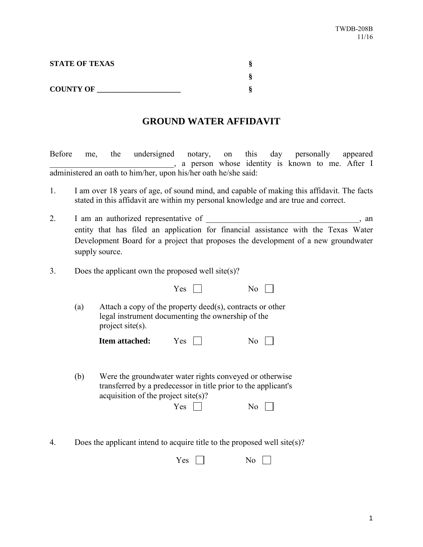| <b>STATE OF TEXAS</b> |  |
|-----------------------|--|
|                       |  |
| <b>COUNTY OF</b>      |  |

## **GROUND WATER AFFIDAVIT**

Before me, the undersigned notary, on this day personally appeared \_\_\_\_\_\_\_\_\_\_\_\_\_\_\_\_\_\_\_\_\_\_\_\_\_\_\_\_\_\_, a person whose identity is known to me. After I administered an oath to him/her, upon his/her oath he/she said:

- 1. I am over 18 years of age, of sound mind, and capable of making this affidavit. The facts stated in this affidavit are within my personal knowledge and are true and correct.
- 2. I am an authorized representative of \_\_\_\_\_\_\_\_\_\_\_\_\_\_\_\_\_\_\_\_\_\_\_\_\_\_\_\_\_\_\_, an entity that has filed an application for financial assistance with the Texas Water Development Board for a project that proposes the development of a new groundwater supply source.
- 3. Does the applicant own the proposed well site(s)?

|     |                                                                           | Yes        |                                                                                                                                             |
|-----|---------------------------------------------------------------------------|------------|---------------------------------------------------------------------------------------------------------------------------------------------|
| (a) | legal instrument documenting the ownership of the<br>project site $(s)$ . |            | Attach a copy of the property deed(s), contracts or other                                                                                   |
|     | <b>Item attached:</b>                                                     | Yes        | N <sub>0</sub>                                                                                                                              |
| (b) | acquisition of the project site(s)?                                       | <b>Yes</b> | Were the groundwater water rights conveyed or otherwise<br>transferred by a predecessor in title prior to the applicant's<br>N <sub>0</sub> |

4. Does the applicant intend to acquire title to the proposed well site(s)?

| ~~<br>$\sim$<br>e<br>- | -<br>N6 |
|------------------------|---------|
|------------------------|---------|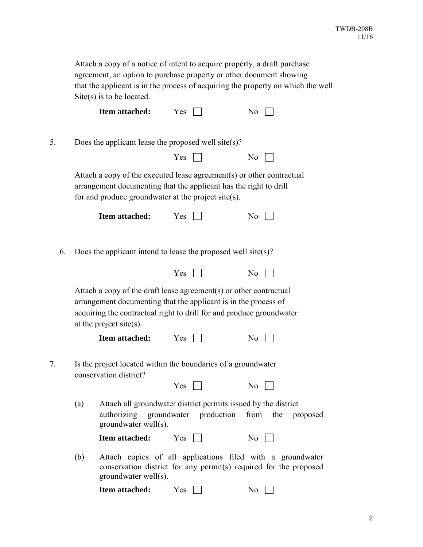|    | Attach a copy of a notice of intent to acquire property, a draft purchase<br>agreement, an option to purchase property or other document showing<br>that the applicant is in the process of acquiring the property on which the well<br>$\text{Site}(s)$ is to be located. |                                                                                                                                                                                                                                              |       |  |  |                |                      |
|----|----------------------------------------------------------------------------------------------------------------------------------------------------------------------------------------------------------------------------------------------------------------------------|----------------------------------------------------------------------------------------------------------------------------------------------------------------------------------------------------------------------------------------------|-------|--|--|----------------|----------------------|
|    |                                                                                                                                                                                                                                                                            | Item attached:                                                                                                                                                                                                                               | Yes   |  |  | No             |                      |
| 5. |                                                                                                                                                                                                                                                                            | Does the applicant lease the proposed well site(s)?                                                                                                                                                                                          |       |  |  |                |                      |
|    |                                                                                                                                                                                                                                                                            |                                                                                                                                                                                                                                              | $Yes$ |  |  | No.            |                      |
|    |                                                                                                                                                                                                                                                                            | Attach a copy of the executed lease agreement(s) or other contractual<br>arrangement documenting that the applicant has the right to drill<br>for and produce groundwater at the project site(s).                                            |       |  |  |                |                      |
|    |                                                                                                                                                                                                                                                                            | Item attached:                                                                                                                                                                                                                               | Yes   |  |  | No             |                      |
| 6. |                                                                                                                                                                                                                                                                            | Does the applicant intend to lease the proposed well site(s)?                                                                                                                                                                                |       |  |  |                |                      |
|    |                                                                                                                                                                                                                                                                            |                                                                                                                                                                                                                                              | $Yes$ |  |  | No             |                      |
|    |                                                                                                                                                                                                                                                                            | Attach a copy of the draft lease agreement(s) or other contractual<br>arrangement documenting that the applicant is in the process of<br>acquiring the contractual right to drill for and produce groundwater<br>at the project site $(s)$ . |       |  |  |                |                      |
|    |                                                                                                                                                                                                                                                                            | Item attached:                                                                                                                                                                                                                               | Yes   |  |  | N <sub>o</sub> |                      |
| 7. |                                                                                                                                                                                                                                                                            | Is the project located within the boundaries of a groundwater<br>conservation district?                                                                                                                                                      |       |  |  |                |                      |
|    |                                                                                                                                                                                                                                                                            |                                                                                                                                                                                                                                              | Yes   |  |  | No             |                      |
|    | (a)                                                                                                                                                                                                                                                                        | Attach all groundwater district permits issued by the district<br>authorizing groundwater production<br>groundwater well(s).                                                                                                                 |       |  |  |                | from the<br>proposed |
|    |                                                                                                                                                                                                                                                                            | Item attached:                                                                                                                                                                                                                               | Yes   |  |  | N <sub>o</sub> |                      |
|    | (b)                                                                                                                                                                                                                                                                        | Attach copies of all applications filed with a groundwater<br>conservation district for any permit(s) required for the proposed<br>groundwater well(s).                                                                                      |       |  |  |                |                      |
|    |                                                                                                                                                                                                                                                                            | Item attached:                                                                                                                                                                                                                               | Yes   |  |  | N <sub>0</sub> |                      |